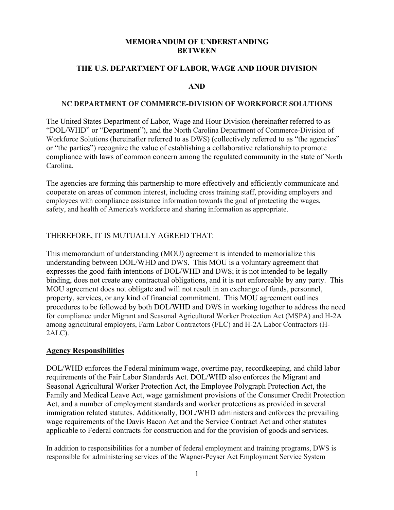#### **MEMORANDUM OF UNDERSTANDING BETWEEN**

#### **THE U.S. DEPARTMENT OF LABOR, WAGE AND HOUR DIVISION**

#### **AND**

#### **NC DEPARTMENT OF COMMERCE-DIVISION OF WORKFORCE SOLUTIONS**

The United States Department of Labor, Wage and Hour Division (hereinafter referred to as "DOL/WHD" or "Department"), and the North Carolina Department of Commerce-Division of Workforce Solutions (hereinafter referred to as DWS) (collectively referred to as "the agencies" or "the parties") recognize the value of establishing a collaborative relationship to promote compliance with laws of common concern among the regulated community in the state of North Carolina.

The agencies are forming this partnership to more effectively and efficiently communicate and cooperate on areas of common interest, including cross training staff, providing employers and employees with compliance assistance information towards the goal of protecting the wages, safety, and health of America's workforce and sharing information as appropriate.

### THEREFORE, IT IS MUTUALLY AGREED THAT:

This memorandum of understanding (MOU) agreement is intended to memorialize this understanding between DOL/WHD and DWS. This MOU is a voluntary agreement that expresses the good-faith intentions of DOL/WHD and DWS; it is not intended to be legally binding, does not create any contractual obligations, and it is not enforceable by any party. This MOU agreement does not obligate and will not result in an exchange of funds, personnel, property, services, or any kind of financial commitment. This MOU agreement outlines procedures to be followed by both DOL/WHD and DWS in working together to address the need for compliance under Migrant and Seasonal Agricultural Worker Protection Act (MSPA) and H-2A among agricultural employers, Farm Labor Contractors (FLC) and H-2A Labor Contractors (H-2ALC).

#### **Agency Responsibilities**

DOL/WHD enforces the Federal minimum wage, overtime pay, recordkeeping, and child labor requirements of the Fair Labor Standards Act. DOL/WHD also enforces the Migrant and Seasonal Agricultural Worker Protection Act, the Employee Polygraph Protection Act, the Family and Medical Leave Act, wage garnishment provisions of the Consumer Credit Protection Act, and a number of employment standards and worker protections as provided in several immigration related statutes. Additionally, DOL/WHD administers and enforces the prevailing wage requirements of the Davis Bacon Act and the Service Contract Act and other statutes applicable to Federal contracts for construction and for the provision of goods and services.

In addition to responsibilities for a number of federal employment and training programs, DWS is responsible for administering services of the Wagner-Peyser Act Employment Service System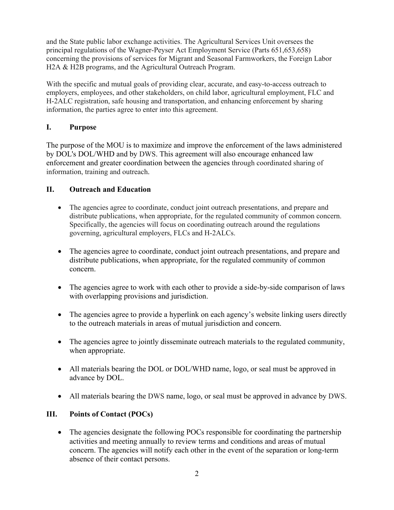and the State public labor exchange activities. The Agricultural Services Unit oversees the principal regulations of the Wagner-Peyser Act Employment Service (Parts 651,653,658) concerning the provisions of services for Migrant and Seasonal Farmworkers, the Foreign Labor H2A & H2B programs, and the Agricultural Outreach Program.

With the specific and mutual goals of providing clear, accurate, and easy-to-access outreach to employers, employees, and other stakeholders, on child labor, agricultural employment, FLC and H-2ALC registration, safe housing and transportation, and enhancing enforcement by sharing information, the parties agree to enter into this agreement.

## **I. Purpose**

The purpose of the MOU is to maximize and improve the enforcement of the laws administered by DOL's DOL/WHD and by DWS. This agreement will also encourage enhanced law enforcement and greater coordination between the agencies through coordinated sharing of information, training and outreach.

## **II. Outreach and Education**

- The agencies agree to coordinate, conduct joint outreach presentations, and prepare and distribute publications, when appropriate, for the regulated community of common concern. Specifically, the agencies will focus on coordinating outreach around the regulations governing, agricultural employers, FLCs and H-2ALCs.
- The agencies agree to coordinate, conduct joint outreach presentations, and prepare and distribute publications, when appropriate, for the regulated community of common concern.
- The agencies agree to work with each other to provide a side-by-side comparison of laws with overlapping provisions and jurisdiction.
- The agencies agree to provide a hyperlink on each agency's website linking users directly to the outreach materials in areas of mutual jurisdiction and concern.
- The agencies agree to jointly disseminate outreach materials to the regulated community, when appropriate.
- All materials bearing the DOL or DOL/WHD name, logo, or seal must be approved in advance by DOL.
- All materials bearing the DWS name, logo, or seal must be approved in advance by DWS.

# **III. Points of Contact (POCs)**

• The agencies designate the following POCs responsible for coordinating the partnership activities and meeting annually to review terms and conditions and areas of mutual concern. The agencies will notify each other in the event of the separation or long-term absence of their contact persons.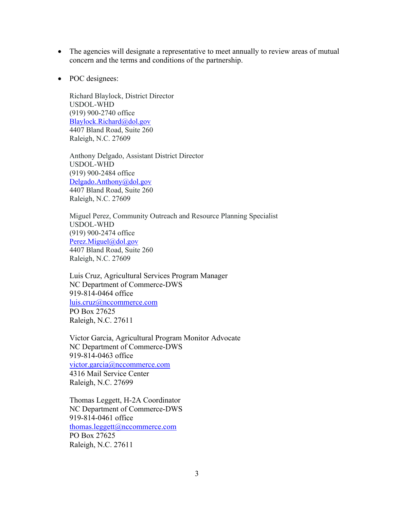- The agencies will designate a representative to meet annually to review areas of mutual concern and the terms and conditions of the partnership.
- POC designees:

Richard Blaylock, District Director USDOL-WHD (919) 900-2740 office [Blaylock.Richard@dol.gov](mailto:Blaylock.Richard@dol.gov) 4407 Bland Road, Suite 260 Raleigh, N.C. 27609

Anthony Delgado, Assistant District Director USDOL-WHD (919) 900-2484 office [Delgado.Anthony@dol.gov](mailto:Delgado.Anthony@dol.gov) 4407 Bland Road, Suite 260 Raleigh, N.C. 27609

Miguel Perez, Community Outreach and Resource Planning Specialist USDOL-WHD (919) 900-2474 office [Perez.Miguel@dol.gov](mailto:Perez.Miguel@dol.gov) 4407 Bland Road, Suite 260 Raleigh, N.C. 27609

Luis Cruz, Agricultural Services Program Manager NC Department of Commerce-DWS 919-814-0464 office [luis.cruz@nccommerce.com](mailto:luis.cruz@nccommerce.com) PO Box 27625 Raleigh, N.C. 27611

Victor Garcia, Agricultural Program Monitor Advocate NC Department of Commerce-DWS 919-814-0463 office [victor.garcia@nccommerce.com](mailto:victor.garcia@nccommerce.com) 4316 Mail Service Center Raleigh, N.C. 27699

Thomas Leggett, H-2A Coordinator NC Department of Commerce-DWS 919-814-0461 office [thomas.leggett@nccommerce.com](mailto:thomas.leggett@nccommerce.com) PO Box 27625 Raleigh, N.C. 27611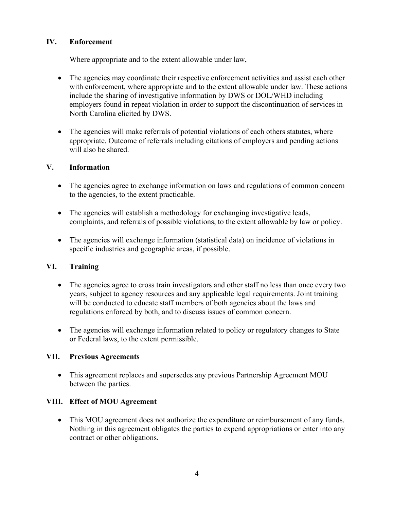## **IV. Enforcement**

Where appropriate and to the extent allowable under law,

- The agencies may coordinate their respective enforcement activities and assist each other with enforcement, where appropriate and to the extent allowable under law. These actions include the sharing of investigative information by DWS or DOL/WHD including employers found in repeat violation in order to support the discontinuation of services in North Carolina elicited by DWS.
- The agencies will make referrals of potential violations of each others statutes, where appropriate. Outcome of referrals including citations of employers and pending actions will also be shared.

## **V. Information**

- The agencies agree to exchange information on laws and regulations of common concern to the agencies, to the extent practicable.
- The agencies will establish a methodology for exchanging investigative leads, complaints, and referrals of possible violations, to the extent allowable by law or policy.
- The agencies will exchange information (statistical data) on incidence of violations in specific industries and geographic areas, if possible.

# **VI. Training**

- The agencies agree to cross train investigators and other staff no less than once every two years, subject to agency resources and any applicable legal requirements. Joint training will be conducted to educate staff members of both agencies about the laws and regulations enforced by both, and to discuss issues of common concern.
- The agencies will exchange information related to policy or regulatory changes to State or Federal laws, to the extent permissible.

## **VII. Previous Agreements**

• This agreement replaces and supersedes any previous Partnership Agreement MOU between the parties.

# **VIII. Effect of MOU Agreement**

• This MOU agreement does not authorize the expenditure or reimbursement of any funds. Nothing in this agreement obligates the parties to expend appropriations or enter into any contract or other obligations.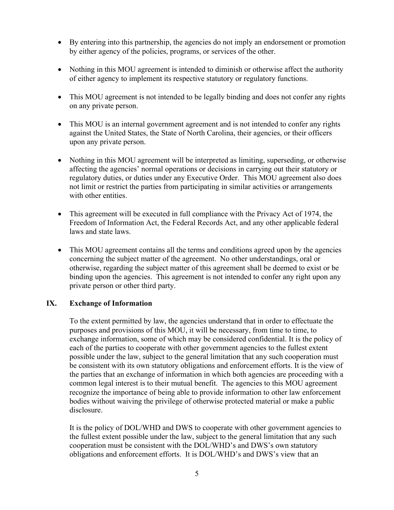- By entering into this partnership, the agencies do not imply an endorsement or promotion by either agency of the policies, programs, or services of the other.
- Nothing in this MOU agreement is intended to diminish or otherwise affect the authority of either agency to implement its respective statutory or regulatory functions.
- This MOU agreement is not intended to be legally binding and does not confer any rights on any private person.
- This MOU is an internal government agreement and is not intended to confer any rights against the United States, the State of North Carolina, their agencies, or their officers upon any private person.
- Nothing in this MOU agreement will be interpreted as limiting, superseding, or otherwise affecting the agencies' normal operations or decisions in carrying out their statutory or regulatory duties, or duties under any Executive Order. This MOU agreement also does not limit or restrict the parties from participating in similar activities or arrangements with other entities.
- This agreement will be executed in full compliance with the Privacy Act of 1974, the Freedom of Information Act, the Federal Records Act, and any other applicable federal laws and state laws.
- This MOU agreement contains all the terms and conditions agreed upon by the agencies concerning the subject matter of the agreement. No other understandings, oral or otherwise, regarding the subject matter of this agreement shall be deemed to exist or be binding upon the agencies. This agreement is not intended to confer any right upon any private person or other third party.

## **IX. Exchange of Information**

To the extent permitted by law, the agencies understand that in order to effectuate the purposes and provisions of this MOU, it will be necessary, from time to time, to exchange information, some of which may be considered confidential. It is the policy of each of the parties to cooperate with other government agencies to the fullest extent possible under the law, subject to the general limitation that any such cooperation must be consistent with its own statutory obligations and enforcement efforts. It is the view of the parties that an exchange of information in which both agencies are proceeding with a common legal interest is to their mutual benefit. The agencies to this MOU agreement recognize the importance of being able to provide information to other law enforcement bodies without waiving the privilege of otherwise protected material or make a public disclosure.

It is the policy of DOL/WHD and DWS to cooperate with other government agencies to the fullest extent possible under the law, subject to the general limitation that any such cooperation must be consistent with the DOL/WHD's and DWS's own statutory obligations and enforcement efforts. It is DOL/WHD's and DWS's view that an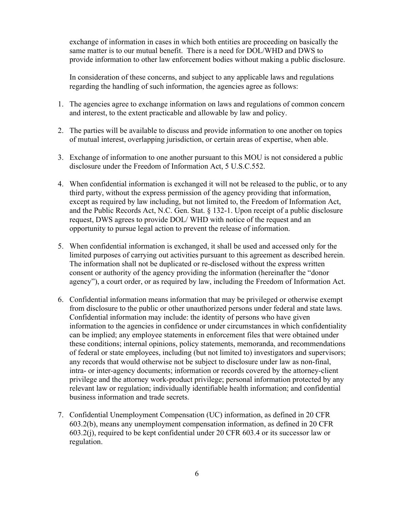exchange of information in cases in which both entities are proceeding on basically the same matter is to our mutual benefit. There is a need for DOL/WHD and DWS to provide information to other law enforcement bodies without making a public disclosure.

In consideration of these concerns, and subject to any applicable laws and regulations regarding the handling of such information, the agencies agree as follows:

- 1. The agencies agree to exchange information on laws and regulations of common concern and interest, to the extent practicable and allowable by law and policy.
- 2. The parties will be available to discuss and provide information to one another on topics of mutual interest, overlapping jurisdiction, or certain areas of expertise, when able.
- 3. Exchange of information to one another pursuant to this MOU is not considered a public disclosure under the Freedom of Information Act, 5 U.S.C.552.
- 4. When confidential information is exchanged it will not be released to the public, or to any third party, without the express permission of the agency providing that information, except as required by law including, but not limited to, the Freedom of Information Act, and the Public Records Act, N.C. Gen. Stat. § 132-1. Upon receipt of a public disclosure request, DWS agrees to provide DOL/ WHD with notice of the request and an opportunity to pursue legal action to prevent the release of information.
- 5. When confidential information is exchanged, it shall be used and accessed only for the limited purposes of carrying out activities pursuant to this agreement as described herein. The information shall not be duplicated or re-disclosed without the express written consent or authority of the agency providing the information (hereinafter the "donor agency"), a court order, or as required by law, including the Freedom of Information Act.
- 6. Confidential information means information that may be privileged or otherwise exempt from disclosure to the public or other unauthorized persons under federal and state laws. Confidential information may include: the identity of persons who have given information to the agencies in confidence or under circumstances in which confidentiality can be implied; any employee statements in enforcement files that were obtained under these conditions; internal opinions, policy statements, memoranda, and recommendations of federal or state employees, including (but not limited to) investigators and supervisors; any records that would otherwise not be subject to disclosure under law as non-final, intra- or inter-agency documents; information or records covered by the attorney-client privilege and the attorney work-product privilege; personal information protected by any relevant law or regulation; individually identifiable health information; and confidential business information and trade secrets.
- 7. Confidential Unemployment Compensation (UC) information, as defined in 20 CFR 603.2(b), means any unemployment compensation information, as defined in 20 CFR 603.2(j), required to be kept confidential under 20 CFR 603.4 or its successor law or regulation.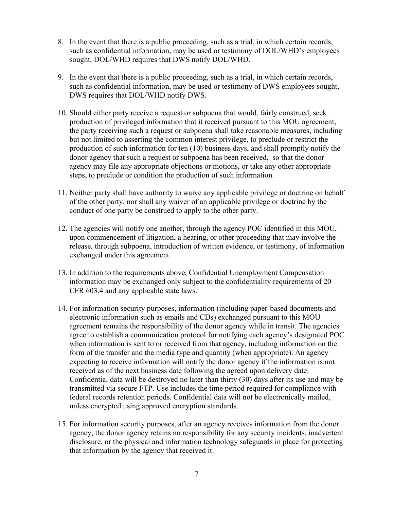- 8. In the event that there is a public proceeding, such as a trial, in which certain records, such as confidential information, may be used or testimony of DOL/WHD's employees sought, DOL/WHD requires that DWS notify DOL/WHD.
- 9. In the event that there is a public proceeding, such as a trial, in which certain records, such as confidential information, may be used or testimony of DWS employees sought, DWS requires that DOL/WHD notify DWS.
- 10. Should either party receive a request or subpoena that would, fairly construed, seek production of privileged information that it received pursuant to this MOU agreement, the party receiving such a request or subpoena shall take reasonable measures, including but not limited to asserting the common interest privilege, to preclude or restrict the production of such information for ten (10) business days, and shall promptly notify the donor agency that such a request or subpoena has been received, so that the donor agency may file any appropriate objections or motions, or take any other appropriate steps, to preclude or condition the production of such information.
- 11. Neither party shall have authority to waive any applicable privilege or doctrine on behalf of the other party, nor shall any waiver of an applicable privilege or doctrine by the conduct of one party be construed to apply to the other party.
- 12. The agencies will notify one another, through the agency POC identified in this MOU, upon commencement of litigation, a hearing, or other proceeding that may involve the release, through subpoena, introduction of written evidence, or testimony, of information exchanged under this agreement.
- 13. In addition to the requirements above, Confidential Unemployment Compensation information may be exchanged only subject to the confidentiality requirements of 20 CFR 603.4 and any applicable state laws.
- 14. For information security purposes, information (including paper-based documents and electronic information such as emails and CDs) exchanged pursuant to this MOU agreement remains the responsibility of the donor agency while in transit. The agencies agree to establish a communication protocol for notifying each agency's designated POC when information is sent to or received from that agency, including information on the form of the transfer and the media type and quantity (when appropriate). An agency expecting to receive information will notify the donor agency if the information is not received as of the next business date following the agreed upon delivery date. Confidential data will be destroyed no later than thirty (30) days after its use and may be transmitted via secure FTP. Use includes the time period required for compliance with federal records retention periods. Confidential data will not be electronically mailed, unless encrypted using approved encryption standards.
- 15. For information security purposes, after an agency receives information from the donor agency, the donor agency retains no responsibility for any security incidents, inadvertent disclosure, or the physical and information technology safeguards in place for protecting that information by the agency that received it.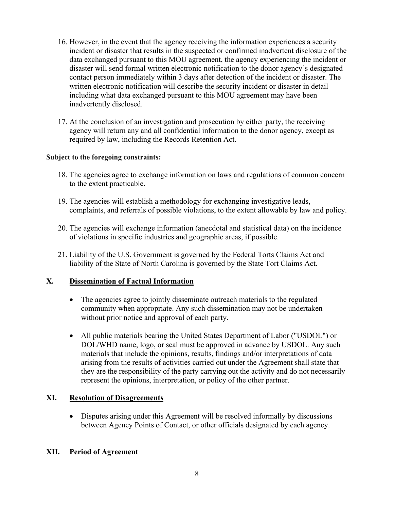- 16. However, in the event that the agency receiving the information experiences a security incident or disaster that results in the suspected or confirmed inadvertent disclosure of the data exchanged pursuant to this MOU agreement, the agency experiencing the incident or disaster will send formal written electronic notification to the donor agency's designated contact person immediately within 3 days after detection of the incident or disaster. The written electronic notification will describe the security incident or disaster in detail including what data exchanged pursuant to this MOU agreement may have been inadvertently disclosed.
- 17. At the conclusion of an investigation and prosecution by either party, the receiving agency will return any and all confidential information to the donor agency, except as required by law, including the Records Retention Act.

### **Subject to the foregoing constraints:**

- 18. The agencies agree to exchange information on laws and regulations of common concern to the extent practicable.
- 19. The agencies will establish a methodology for exchanging investigative leads, complaints, and referrals of possible violations, to the extent allowable by law and policy.
- 20. The agencies will exchange information (anecdotal and statistical data) on the incidence of violations in specific industries and geographic areas, if possible.
- 21. Liability of the U.S. Government is governed by the Federal Torts Claims Act and liability of the State of North Carolina is governed by the State Tort Claims Act.

## **X. Dissemination of Factual Information**

- The agencies agree to jointly disseminate outreach materials to the regulated community when appropriate. Any such dissemination may not be undertaken without prior notice and approval of each party.
- All public materials bearing the United States Department of Labor ("USDOL") or DOL/WHD name, logo, or seal must be approved in advance by USDOL. Any such materials that include the opinions, results, findings and/or interpretations of data arising from the results of activities carried out under the Agreement shall state that they are the responsibility of the party carrying out the activity and do not necessarily represent the opinions, interpretation, or policy of the other partner.

## **XI. Resolution of Disagreements**

• Disputes arising under this Agreement will be resolved informally by discussions between Agency Points of Contact, or other officials designated by each agency.

### **XII. Period of Agreement**